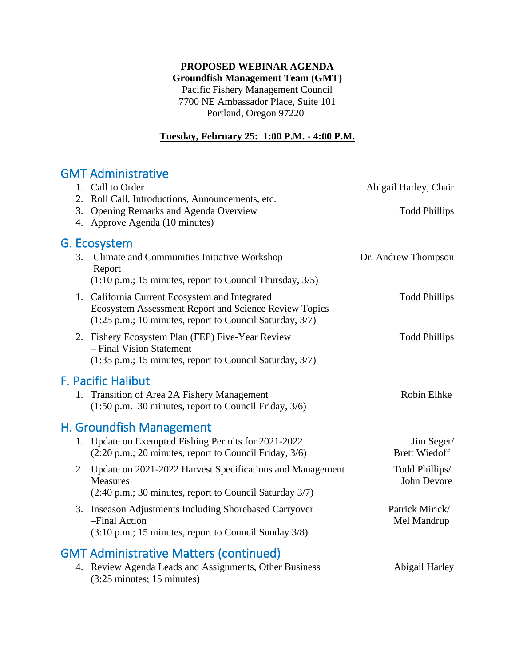### **PROPOSED WEBINAR AGENDA Groundfish Management Team (GMT)**

Pacific Fishery Management Council 7700 NE Ambassador Place, Suite 101 Portland, Oregon 97220

## **Tuesday, February 25: 1:00 P.M. - 4:00 P.M.**

# GMT Administrative

|                                 | 1. Call to Order<br>2. Roll Call, Introductions, Announcements, etc.                                                                                                                         | Abigail Harley, Chair              |
|---------------------------------|----------------------------------------------------------------------------------------------------------------------------------------------------------------------------------------------|------------------------------------|
|                                 | 3. Opening Remarks and Agenda Overview<br>4. Approve Agenda (10 minutes)                                                                                                                     | <b>Todd Phillips</b>               |
| G. Ecosystem                    |                                                                                                                                                                                              |                                    |
| 3.                              | Climate and Communities Initiative Workshop<br>Report                                                                                                                                        | Dr. Andrew Thompson                |
|                                 | $(1:10 \text{ p.m.}; 15 \text{ minutes}, \text{report to Council Thursday}, 3/5)$                                                                                                            |                                    |
|                                 | 1. California Current Ecosystem and Integrated<br>Ecosystem Assessment Report and Science Review Topics<br>$(1:25 \text{ p.m.}; 10 \text{ minutes}, \text{report to Council Saturday}, 3/7)$ | <b>Todd Phillips</b>               |
|                                 | 2. Fishery Ecosystem Plan (FEP) Five-Year Review<br>- Final Vision Statement<br>(1:35 p.m.; 15 minutes, report to Council Saturday, 3/7)                                                     | <b>Todd Phillips</b>               |
| <b>F. Pacific Halibut</b>       |                                                                                                                                                                                              |                                    |
| 1.                              | Transition of Area 2A Fishery Management<br>(1:50 p.m. 30 minutes, report to Council Friday, 3/6)                                                                                            | Robin Elhke                        |
| <b>H. Groundfish Management</b> |                                                                                                                                                                                              |                                    |
|                                 | 1. Update on Exempted Fishing Permits for 2021-2022<br>$(2:20 \text{ p.m.}; 20 \text{ minutes}, \text{report to Council Friday}, 3/6)$                                                       | Jim Seger/<br><b>Brett Wiedoff</b> |
|                                 | 2. Update on 2021-2022 Harvest Specifications and Management<br>Measures<br>(2:40 p.m.; 30 minutes, report to Council Saturday 3/7)                                                          | Todd Phillips/<br>John Devore      |
|                                 |                                                                                                                                                                                              |                                    |
|                                 | 3. Inseason Adjustments Including Shorebased Carryover<br>-Final Action<br>(3:10 p.m.; 15 minutes, report to Council Sunday 3/8)                                                             | Patrick Mirick/<br>Mel Mandrup     |
|                                 |                                                                                                                                                                                              |                                    |
|                                 | <b>GMT Administrative Matters (continued)</b>                                                                                                                                                |                                    |
| 4.                              | Review Agenda Leads and Assignments, Other Business<br>$(3:25 \text{ minutes}; 15 \text{ minutes})$                                                                                          | Abigail Harley                     |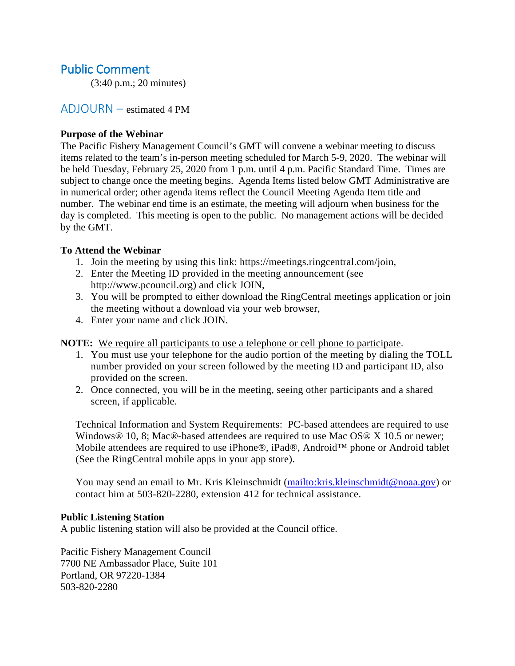## Public Comment

(3:40 p.m.; 20 minutes)

## ADJOURN – estimated 4 PM

#### **Purpose of the Webinar**

The Pacific Fishery Management Council's GMT will convene a webinar meeting to discuss items related to the team's in-person meeting scheduled for March 5-9, 2020. The webinar will be held Tuesday, February 25, 2020 from 1 p.m. until 4 p.m. Pacific Standard Time. Times are subject to change once the meeting begins. Agenda Items listed below GMT Administrative are in numerical order; other agenda items reflect the Council Meeting Agenda Item title and number. The webinar end time is an estimate, the meeting will adjourn when business for the day is completed. This meeting is open to the public. No management actions will be decided by the GMT.

#### **To Attend the Webinar**

- 1. Join the meeting by using this link: https://meetings.ringcentral.com/join,
- 2. Enter the Meeting ID provided in the meeting announcement (see http://www.pcouncil.org) and click JOIN,
- 3. You will be prompted to either download the RingCentral meetings application or join the meeting without a download via your web browser,
- 4. Enter your name and click JOIN.

**NOTE:** We require all participants to use a telephone or cell phone to participate.

- 1. You must use your telephone for the audio portion of the meeting by dialing the TOLL number provided on your screen followed by the meeting ID and participant ID, also provided on the screen.
- 2. Once connected, you will be in the meeting, seeing other participants and a shared screen, if applicable.

Technical Information and System Requirements: PC-based attendees are required to use Windows® 10, 8; Mac®-based attendees are required to use Mac OS® X 10.5 or newer; Mobile attendees are required to use iPhone®, iPad®, Android™ phone or Android tablet (See the RingCentral mobile apps in your app store).

You may send an email to Mr. Kris Kleinschmidt (mailto: kris. kleinschmidt@noaa.gov) or contact him at 503-820-2280, extension 412 for technical assistance.

#### **Public Listening Station**

A public listening station will also be provided at the Council office.

Pacific Fishery Management Council 7700 NE Ambassador Place, Suite 101 Portland, OR 97220-1384 503-820-2280